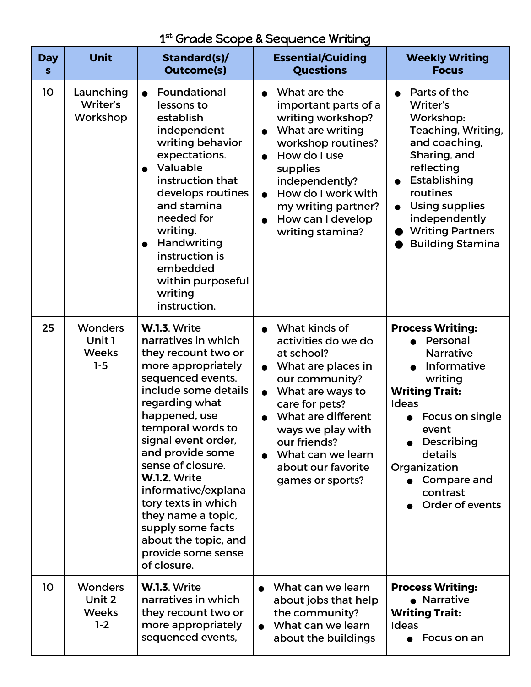| $1^{\rm st}$ Grade Scope & Sequence Writing |  |
|---------------------------------------------|--|
|---------------------------------------------|--|

| <b>Day</b><br>S | <b>Unit</b>                                       | Standard(s)/<br><b>Outcome(s)</b>                                                                                                                                                                                                                                                                                                                                                                                                  | <b>Essential/Guiding</b><br><b>Questions</b>                                                                                                                                                                                                                                         | <b>Weekly Writing</b><br><b>Focus</b>                                                                                                                                                                                                         |
|-----------------|---------------------------------------------------|------------------------------------------------------------------------------------------------------------------------------------------------------------------------------------------------------------------------------------------------------------------------------------------------------------------------------------------------------------------------------------------------------------------------------------|--------------------------------------------------------------------------------------------------------------------------------------------------------------------------------------------------------------------------------------------------------------------------------------|-----------------------------------------------------------------------------------------------------------------------------------------------------------------------------------------------------------------------------------------------|
| 10              | Launching<br>Writer's<br>Workshop                 | Foundational<br>lessons to<br>establish<br>independent<br>writing behavior<br>expectations.<br>Valuable<br>instruction that<br>develops routines<br>and stamina<br>needed for<br>writing.<br>Handwriting<br>$\bullet$<br>instruction is<br>embedded<br>within purposeful<br>writing<br>instruction.                                                                                                                                | What are the<br>important parts of a<br>writing workshop?<br>What are writing<br>$\bullet$<br>workshop routines?<br>How do I use<br>supplies<br>independently?<br>How do I work with<br>$\bullet$<br>my writing partner?<br>How can I develop<br>$\bullet$<br>writing stamina?       | Parts of the<br>Writer's<br>Workshop:<br>Teaching, Writing,<br>and coaching,<br>Sharing, and<br>reflecting<br>Establishing<br>routines<br><b>Using supplies</b><br>independently<br><b>Writing Partners</b><br><b>Building Stamina</b>        |
| 25              | <b>Wonders</b><br>Unit 1<br><b>Weeks</b><br>$1-5$ | W.1.3. Write<br>narratives in which<br>they recount two or<br>more appropriately<br>sequenced events,<br>include some details<br>regarding what<br>happened, use<br>temporal words to<br>signal event order,<br>and provide some<br>sense of closure.<br><b>W.1.2. Write</b><br>informative/explana<br>tory texts in which<br>they name a topic,<br>supply some facts<br>about the topic, and<br>provide some sense<br>of closure. | What kinds of<br>activities do we do<br>at school?<br>What are places in<br>$\bullet$<br>our community?<br>What are ways to<br>$\bullet$<br>care for pets?<br>What are different<br>ways we play with<br>our friends?<br>What can we learn<br>about our favorite<br>games or sports? | <b>Process Writing:</b><br>Personal<br><b>Narrative</b><br>Informative<br>writing<br><b>Writing Trait:</b><br><b>Ideas</b><br>Focus on single<br>event<br>Describing<br>details<br>Organization<br>Compare and<br>contrast<br>Order of events |
| 10              | <b>Wonders</b><br>Unit 2<br><b>Weeks</b><br>$1-2$ | W.1.3. Write<br>narratives in which<br>they recount two or<br>more appropriately<br>sequenced events,                                                                                                                                                                                                                                                                                                                              | What can we learn<br>about jobs that help<br>the community?<br>What can we learn<br>$\bullet$<br>about the buildings                                                                                                                                                                 | <b>Process Writing:</b><br>• Narrative<br><b>Writing Trait:</b><br><b>Ideas</b><br>Focus on an                                                                                                                                                |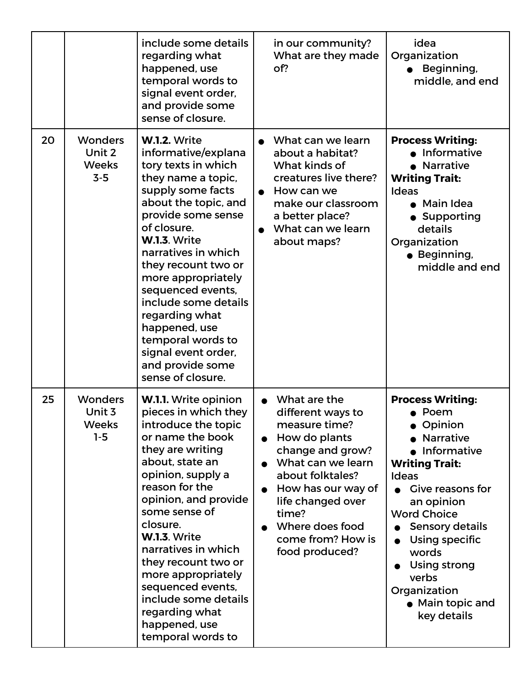|    |                                                   | include some details<br>regarding what<br>happened, use<br>temporal words to<br>signal event order,<br>and provide some<br>sense of closure.                                                                                                                                                                                                                                                                                       | in our community?<br>What are they made<br>of?                                                                                                                                                                                                 | idea<br>Organization<br>Beginning,<br>middle, and end                                                                                                                                                                                                                                                                       |
|----|---------------------------------------------------|------------------------------------------------------------------------------------------------------------------------------------------------------------------------------------------------------------------------------------------------------------------------------------------------------------------------------------------------------------------------------------------------------------------------------------|------------------------------------------------------------------------------------------------------------------------------------------------------------------------------------------------------------------------------------------------|-----------------------------------------------------------------------------------------------------------------------------------------------------------------------------------------------------------------------------------------------------------------------------------------------------------------------------|
| 20 | <b>Wonders</b><br>Unit 2<br><b>Weeks</b><br>$3-5$ | <b>W.1.2. Write</b><br>informative/explana<br>tory texts in which<br>they name a topic,<br>supply some facts<br>about the topic, and<br>provide some sense<br>of closure.<br>W.1.3. Write<br>narratives in which<br>they recount two or<br>more appropriately<br>sequenced events,<br>include some details<br>regarding what<br>happened, use<br>temporal words to<br>signal event order,<br>and provide some<br>sense of closure. | What can we learn<br>about a habitat?<br>What kinds of<br>creatures live there?<br>How can we<br>$\bullet$<br>make our classroom<br>a better place?<br>What can we learn<br>about maps?                                                        | <b>Process Writing:</b><br>Informative<br><b>Narrative</b><br><b>Writing Trait:</b><br><b>Ideas</b><br>• Main Idea<br>• Supporting<br>details<br>Organization<br>· Beginning,<br>middle and end                                                                                                                             |
| 25 | <b>Wonders</b><br>Unit 3<br><b>Weeks</b><br>$1-5$ | <b>W.I.I.</b> Write opinion<br>pieces in which they<br>introduce the topic<br>or name the book<br>they are writing<br>about, state an<br>opinion, supply a<br>reason for the<br>opinion, and provide<br>some sense of<br>closure.<br><b>W.1.3. Write</b><br>narratives in which<br>they recount two or<br>more appropriately<br>sequenced events,<br>include some details<br>regarding what<br>happened, use<br>temporal words to  | What are the<br>different ways to<br>measure time?<br>How do plants<br>change and grow?<br>What can we learn<br>about folktales?<br>How has our way of<br>life changed over<br>time?<br>Where does food<br>come from? How is<br>food produced? | <b>Process Writing:</b><br>$\bullet$ Poem<br>• Opinion<br><b>Narrative</b><br>Informative<br><b>Writing Trait:</b><br><b>Ideas</b><br><b>Give reasons for</b><br>an opinion<br><b>Word Choice</b><br>Sensory details<br>Using specific<br>words<br>Using strong<br>verbs<br>Organization<br>• Main topic and<br>key details |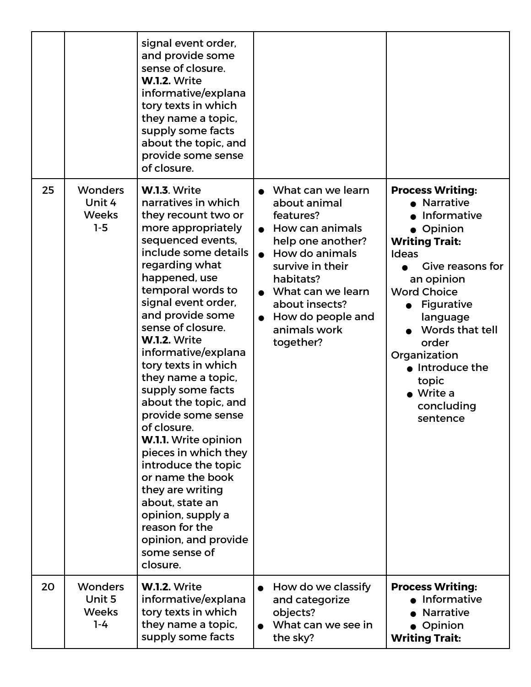|    |                                                     | signal event order,<br>and provide some<br>sense of closure.<br><b>W.1.2. Write</b><br>informative/explana<br>tory texts in which<br>they name a topic,<br>supply some facts<br>about the topic, and<br>provide some sense<br>of closure.                                                                                                                                                                                                                                                                                                                                                                                                                                      |                                                                                                                                                                                                                                    |                                                                                                                                                                                                                                                                                                                                    |
|----|-----------------------------------------------------|--------------------------------------------------------------------------------------------------------------------------------------------------------------------------------------------------------------------------------------------------------------------------------------------------------------------------------------------------------------------------------------------------------------------------------------------------------------------------------------------------------------------------------------------------------------------------------------------------------------------------------------------------------------------------------|------------------------------------------------------------------------------------------------------------------------------------------------------------------------------------------------------------------------------------|------------------------------------------------------------------------------------------------------------------------------------------------------------------------------------------------------------------------------------------------------------------------------------------------------------------------------------|
| 25 | <b>Wonders</b><br>Unit 4<br><b>Weeks</b><br>$1-5$   | <b>W.1.3. Write</b><br>narratives in which<br>they recount two or<br>more appropriately<br>sequenced events,<br>include some details<br>regarding what<br>happened, use<br>temporal words to<br>signal event order,<br>and provide some<br>sense of closure.<br><b>W.1.2. Write</b><br>informative/explana<br>tory texts in which<br>they name a topic,<br>supply some facts<br>about the topic, and<br>provide some sense<br>of closure.<br><b>W.1.1.</b> Write opinion<br>pieces in which they<br>introduce the topic<br>or name the book<br>they are writing<br>about, state an<br>opinion, supply a<br>reason for the<br>opinion, and provide<br>some sense of<br>closure. | What can we learn<br>about animal<br>features?<br>How can animals<br>help one another?<br>How do animals<br>survive in their<br>habitats?<br>What can we learn<br>about insects?<br>How do people and<br>animals work<br>together? | <b>Process Writing:</b><br>• Narrative<br>Informative<br>• Opinion<br><b>Writing Trait:</b><br><b>Ideas</b><br><b>Give reasons for</b><br>an opinion<br><b>Word Choice</b><br><b>Figurative</b><br>language<br>Words that tell<br>order<br>Organization<br>• Introduce the<br>topic<br>$\bullet$ Write a<br>concluding<br>sentence |
| 20 | <b>Wonders</b><br>Unit 5<br><b>Weeks</b><br>$1 - 4$ | <b>W.1.2. Write</b><br>informative/explana<br>tory texts in which<br>they name a topic,<br>supply some facts                                                                                                                                                                                                                                                                                                                                                                                                                                                                                                                                                                   | How do we classify<br>and categorize<br>objects?<br>What can we see in<br>the sky?                                                                                                                                                 | <b>Process Writing:</b><br>Informative<br><b>Narrative</b><br>• Opinion<br><b>Writing Trait:</b>                                                                                                                                                                                                                                   |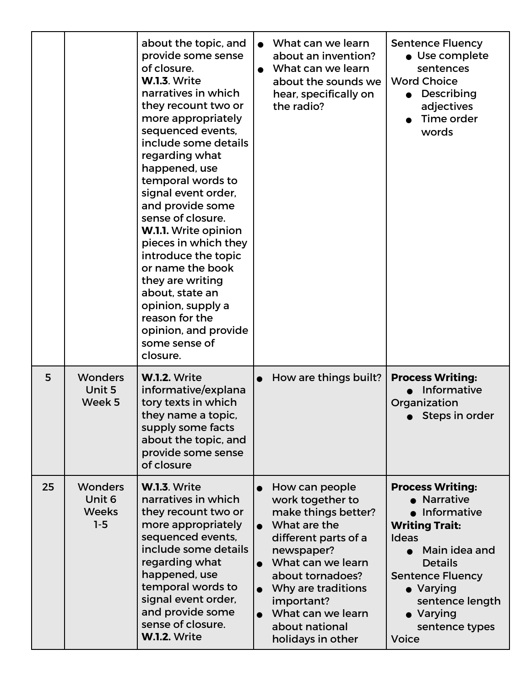|    |                                                     | about the topic, and<br>provide some sense<br>of closure.<br><b>W.1.3. Write</b><br>narratives in which<br>they recount two or<br>more appropriately<br>sequenced events,<br>include some details<br>regarding what<br>happened, use<br>temporal words to<br>signal event order,<br>and provide some<br>sense of closure.<br>W.1.1. Write opinion<br>pieces in which they<br>introduce the topic<br>or name the book<br>they are writing<br>about, state an<br>opinion, supply a<br>reason for the<br>opinion, and provide<br>some sense of<br>closure. | What can we learn<br>about an invention?<br>What can we learn<br>about the sounds we<br>hear, specifically on<br>the radio?                                                                                                                              | <b>Sentence Fluency</b><br>• Use complete<br>sentences<br><b>Word Choice</b><br>Describing<br>adjectives<br>Time order<br>words                                                                                                             |
|----|-----------------------------------------------------|---------------------------------------------------------------------------------------------------------------------------------------------------------------------------------------------------------------------------------------------------------------------------------------------------------------------------------------------------------------------------------------------------------------------------------------------------------------------------------------------------------------------------------------------------------|----------------------------------------------------------------------------------------------------------------------------------------------------------------------------------------------------------------------------------------------------------|---------------------------------------------------------------------------------------------------------------------------------------------------------------------------------------------------------------------------------------------|
| 5  | <b>Wonders</b><br>Unit 5<br>Week 5                  | <b>W.1.2. Write</b><br>informative/explana<br>tory texts in which<br>they name a topic,<br>supply some facts<br>about the topic, and<br>provide some sense<br>of closure                                                                                                                                                                                                                                                                                                                                                                                | How are things built?                                                                                                                                                                                                                                    | <b>Process Writing:</b><br>Informative<br>Organization<br>Steps in order                                                                                                                                                                    |
| 25 | <b>Wonders</b><br>Unit 6<br><b>Weeks</b><br>$1 - 5$ | <b>W.1.3. Write</b><br>narratives in which<br>they recount two or<br>more appropriately<br>sequenced events,<br>include some details<br>regarding what<br>happened, use<br>temporal words to<br>signal event order,<br>and provide some<br>sense of closure.<br><b>W.1.2. Write</b>                                                                                                                                                                                                                                                                     | How can people<br>work together to<br>make things better?<br>What are the<br>different parts of a<br>newspaper?<br>What can we learn<br>about tornadoes?<br>Why are traditions<br>important?<br>What can we learn<br>about national<br>holidays in other | <b>Process Writing:</b><br>• Narrative<br>• Informative<br><b>Writing Trait:</b><br><b>Ideas</b><br>Main idea and<br><b>Details</b><br><b>Sentence Fluency</b><br>• Varying<br>sentence length<br>Varying<br>sentence types<br><b>Voice</b> |